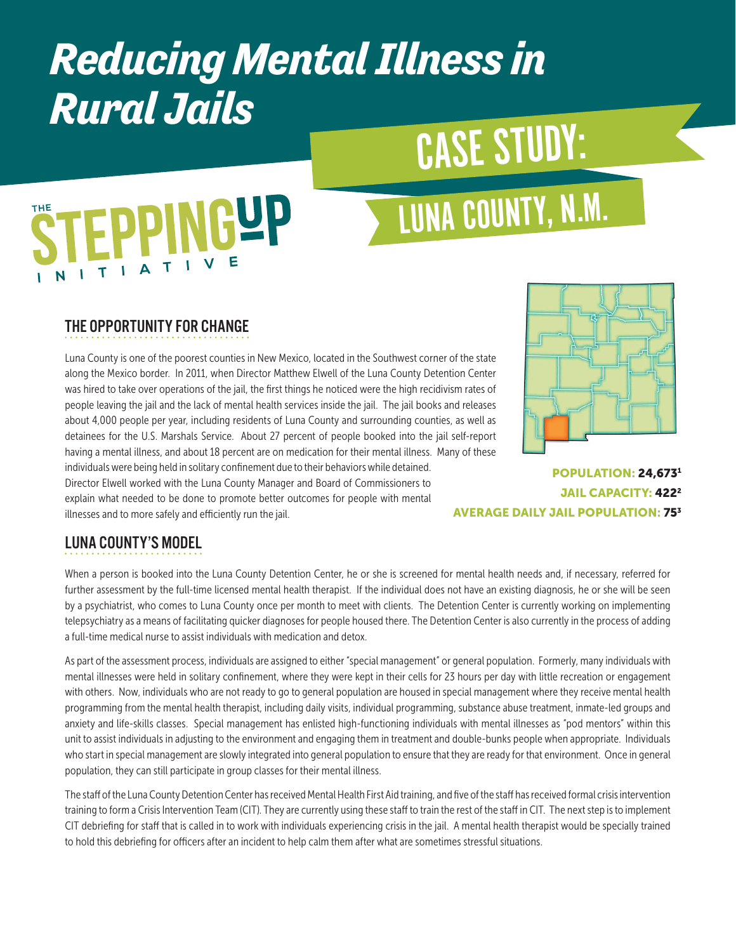### *Reducing Mental Illness in Rural Jails*

# CASE STUDY:

# **EPPINGYP**

## LUNA COUNTY, N.M.

#### THE OPPORTUNITY FOR CHANGE

Luna County is one of the poorest counties in New Mexico, located in the Southwest corner of the state along the Mexico border. In 2011, when Director Matthew Elwell of the Luna County Detention Center was hired to take over operations of the jail, the first things he noticed were the high recidivism rates of people leaving the jail and the lack of mental health services inside the jail. The jail books and releases about 4,000 people per year, including residents of Luna County and surrounding counties, as well as detainees for the U.S. Marshals Service. About 27 percent of people booked into the jail self-report having a mental illness, and about 18 percent are on medication for their mental illness. Many of these individuals were being held in solitary confinement due to their behaviors while detained. Director Elwell worked with the Luna County Manager and Board of Commissioners to explain what needed to be done to promote better outcomes for people with mental



POPULATION: 24,6731 JAIL CAPACITY: 4222 AVERAGE DAILY JAIL POPULATION: 753

#### LUNA COUNTY'S MODEL

illnesses and to more safely and efficiently run the jail.

When a person is booked into the Luna County Detention Center, he or she is screened for mental health needs and, if necessary, referred for further assessment by the full-time licensed mental health therapist. If the individual does not have an existing diagnosis, he or she will be seen by a psychiatrist, who comes to Luna County once per month to meet with clients. The Detention Center is currently working on implementing telepsychiatry as a means of facilitating quicker diagnoses for people housed there. The Detention Center is also currently in the process of adding a full-time medical nurse to assist individuals with medication and detox.

As part of the assessment process, individuals are assigned to either "special management" or general population. Formerly, many individuals with mental illnesses were held in solitary confinement, where they were kept in their cells for 23 hours per day with little recreation or engagement with others. Now, individuals who are not ready to go to general population are housed in special management where they receive mental health programming from the mental health therapist, including daily visits, individual programming, substance abuse treatment, inmate-led groups and anxiety and life-skills classes. Special management has enlisted high-functioning individuals with mental illnesses as "pod mentors" within this unit to assist individuals in adjusting to the environment and engaging them in treatment and double-bunks people when appropriate. Individuals who start in special management are slowly integrated into general population to ensure that they are ready for that environment. Once in general population, they can still participate in group classes for their mental illness.

The staff of the Luna County Detention Center has received Mental Health First Aid training, and five of the staff has received formal crisis intervention training to form a Crisis Intervention Team (CIT). They are currently using these staff to train the rest of the staff in CIT. The next step is to implement CIT debriefing for staff that is called in to work with individuals experiencing crisis in the jail. A mental health therapist would be specially trained to hold this debriefing for officers after an incident to help calm them after what are sometimes stressful situations.